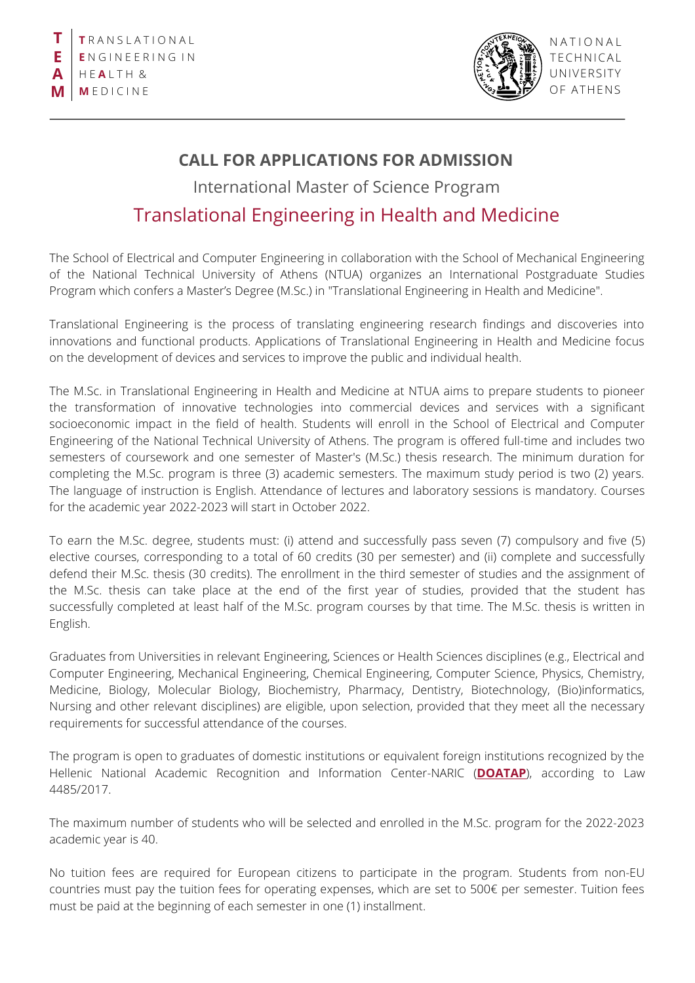

**NATIONAL** T ECHNICAL UNIVERSITY OF ATHENS

## **CALL FOR APPLICATIONS FOR ADMISSION**

International Master of Science Program

## Translational Engineering in Health and Medicine

The School of Electrical and Computer Engineering in collaboration with the School of Mechanical Engineering of the National Technical University of Athens (NTUA) organizes an International Postgraduate Studies Program which confers a Master's Degree (M.Sc.) in "Translational Engineering in Health and Medicine".

Translational Engineering is the process of translating engineering research findings and discoveries into innovations and functional products. Applications of Translational Engineering in Health and Medicine focus on the development of devices and services to improve the public and individual health.

The M.Sc. in Translational Engineering in Health and Medicine at NTUA aims to prepare students to pioneer the transformation of innovative technologies into commercial devices and services with a significant socioeconomic impact in the field of health. Students will enroll in the School of Electrical and Computer Engineering of the National Technical University of Athens. The program is offered full-time and includes two semesters of coursework and one semester of Master's (M.Sc.) thesis research. The minimum duration for completing the M.Sc. program is three (3) academic semesters. The maximum study period is two (2) years. The language of instruction is English. Attendance of lectures and laboratory sessions is mandatory. Courses for the academic year 2022-2023 will start in October 2022.

To earn the M.Sc. degree, students must: (i) attend and successfully pass seven (7) compulsory and five (5) elective courses, corresponding to a total of 60 credits (30 per semester) and (ii) complete and successfully defend their M.Sc. thesis (30 credits). The enrollment in the third semester of studies and the assignment of the M.Sc. thesis can take place at the end of the first year of studies, provided that the student has successfully completed at least half of the M.Sc. program courses by that time. The M.Sc. thesis is written in English.

Graduates from Universities in relevant Engineering, Sciences or Health Sciences disciplines (e.g., Electrical and Computer Engineering, Mechanical Engineering, Chemical Engineering, Computer Science, Physics, Chemistry, Medicine, Biology, Molecular Biology, Biochemistry, Pharmacy, Dentistry, Biotechnology, (Bio)informatics, Nursing and other relevant disciplines) are eligible, upon selection, provided that they meet all the necessary requirements for successful attendance of the courses.

The program is open to graduates of domestic institutions or equivalent foreign institutions recognized by the Hellenic National Academic Recognition and Information Center-NARIC (**[DOATAP](https://www.doatap.gr/home_english/)**), according to Law 4485/2017.

The maximum number of students who will be selected and enrolled in the M.Sc. program for the 2022-2023 academic year is 40.

No tuition fees are required for European citizens to participate in the program. Students from non-EU countries must pay the tuition fees for operating expenses, which are set to 500€ per semester. Tuition fees must be paid at the beginning of each semester in one (1) installment.